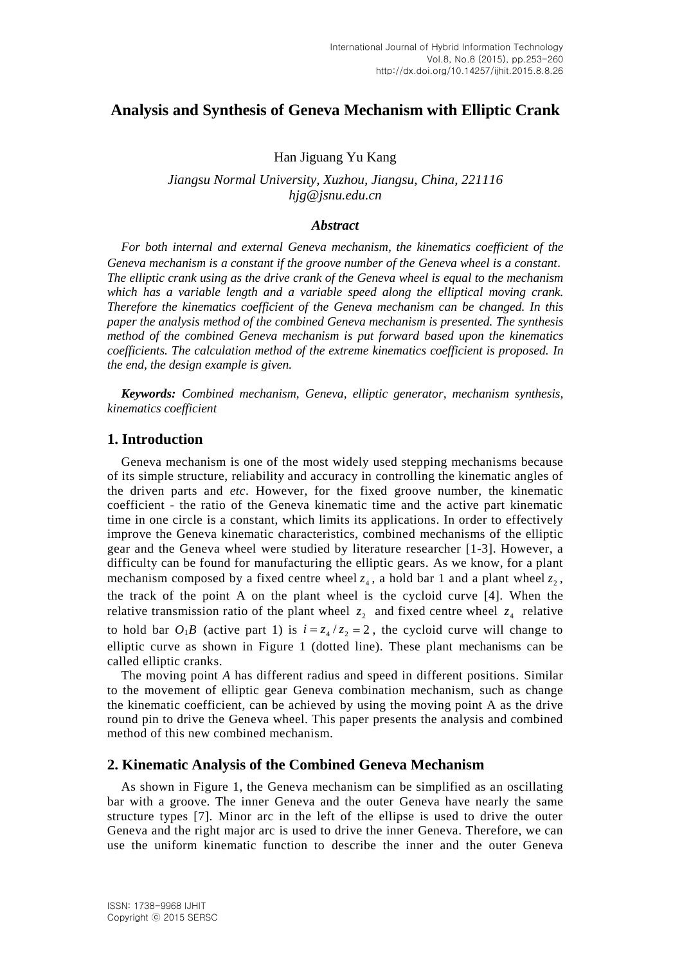# **Analysis and Synthesis of Geneva Mechanism with Elliptic Crank**

Han Jiguang Yu Kang

*Jiangsu Normal University, Xuzhou, Jiangsu, China, 221116 hjg@jsnu.edu.cn*

#### *Abstract*

*For both internal and external Geneva mechanism, the kinematics coefficient of the Geneva mechanism is a constant if the groove number of the Geneva wheel is a constant*. *The elliptic crank using as the drive crank of the Geneva wheel is equal to the mechanism which has a variable length and a variable speed along the elliptical moving crank. Therefore the kinematics coefficient of the Geneva mechanism can be changed. In this paper the analysis method of the combined Geneva mechanism is presented. The synthesis method of the combined Geneva mechanism is put forward based upon the kinematics coefficients. The calculation method of the extreme kinematics coefficient is proposed. In the end, the design example is given.*

*Keywords: Combined mechanism, Geneva, elliptic generator, mechanism synthesis, kinematics coefficient*

## **1. Introduction**

Geneva mechanism is one of the most widely used stepping mechanisms because of its simple structure, reliability and accuracy in controlling the kinematic angles of the driven parts and *etc*. However, for the fixed groove number, the kinematic coefficient - the ratio of the Geneva kinematic time and the active part kinematic time in one circle is a constant, which limits its applications. In order to effectively improve the Geneva kinematic characteristics, combined mechanisms of the elliptic gear and the Geneva wheel were studied by literature researcher [1-3]. However, a difficulty can be found for manufacturing the elliptic gears. As we know, for a plant mechanism composed by a fixed centre wheel  $z_4$ , a hold bar 1 and a plant wheel  $z_2$ , the track of the point A on the plant wheel is the cycloid curve [4]. When the relative transmission ratio of the plant wheel  $z_2$  and fixed centre wheel  $z_4$  relative to hold bar  $O_1B$  (active part 1) is  $i = z_4/z_2 = 2$ , the cycloid curve will change to elliptic curve as shown in Figure 1 (dotted line). These plant mechanisms can be called elliptic cranks.

The moving point *A* has different radius and speed in different positions. Similar to the movement of elliptic gear Geneva combination mechanism, such as change the kinematic coefficient, can be achieved by using the moving point A as the drive round pin to drive the Geneva wheel. This paper presents the analysis and combined method of this new combined mechanism.

## **2. Kinematic Analysis of the Combined Geneva Mechanism**

As shown in Figure 1, the Geneva mechanism can be simplified as an oscillating bar with a groove. The inner Geneva and the outer Geneva have nearly the same structure types [7]. Minor arc in the left of the ellipse is used to drive the outer Geneva and the right major arc is used to drive the inner Geneva. Therefore, we can use the uniform kinematic function to describe the inner and the outer Geneva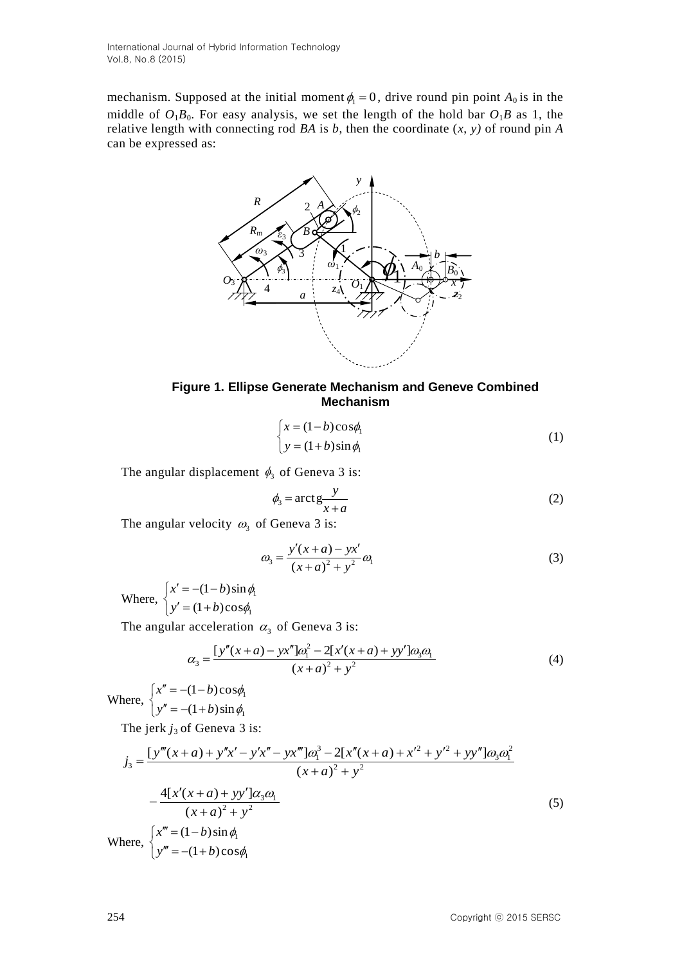mechanism. Supposed at the initial moment  $\phi_1 = 0$ , drive round pin point  $A_0$  is in the middle of  $O_1B_0$ . For easy analysis, we set the length of the hold bar  $O_1B$  as 1, the relative length with connecting rod *BA* is *b*, then the coordinate (*x*, *y)* of round pin *A*  can be expressed as:



## **Figure 1. Ellipse Generate Mechanism and Geneve Combined Mechanism**

$$
\begin{cases}\n x = (1 - b)\cos\phi_1 \\
 y = (1 + b)\sin\phi_1\n\end{cases}
$$
\n(1)

The angular displacement  $\phi_3$  of Geneva 3 is:

$$
\phi_3 = \arctg \frac{y}{x+a} \tag{2}
$$

The angular velocity  $\omega_3$  of Geneva 3 is:

$$
\omega_3 = \frac{y'(x+a) - yx'}{(x+a)^2 + y^2} \omega_1
$$
\n(3)

Where,  $\overline{\mathfrak{l}}$ ⇃  $\left\lceil \right\rceil$  $' = (1 +$  $y' = -(1 -$ 1  $\mathbf{r}_1$  $(1+b)\cos$  $(1-b)\sin$  $\phi_{\scriptscriptstyle\parallel}$  $\phi_1$  $y' = (1 + b)$  $x' = -(1-b)$ 

The angular acceleration  $\alpha_3$  of Geneva 3 is:

 $\mathbf{r}_1$ 1

 $\phi_1$  $\phi_{\scriptscriptstyle 1}$ 

$$
\alpha_3 = \frac{[y''(x+a) - yx'']\omega_1^2 - 2[x'(x+a) + yy']\omega_3\omega_1}{(x+a)^2 + y^2} \tag{4}
$$

Where,  $\overline{\mathcal{L}}$ ⇃  $\left\lceil \right\rceil$  $'' = -(1 +$  $'' = -(1 (1+b)\sin$  $(1-b)\cos$  $y'' = -(1+b)$  $x'' = -(1-b)$ 

The jerk  $j_3$  of Geneva 3 is:

$$
[y" = -(1+b)\sin\phi_1
$$
  
The jerk j<sub>3</sub> of Geneva 3 is:  

$$
j_3 = \frac{[y'''(x+a) + y''x' - y'x'' - y'x''']\omega_1^3 - 2[x''(x+a) + x'^2 + y'^2 + yy''']\omega_3\omega_1^2}{(x+a)^2 + y^2}
$$

$$
-\frac{4[x'(x+a) + yy']\alpha_3\omega_1}{(x+a)^2 + y^2}
$$
(5)  
Where, 
$$
\begin{cases} x''' = (1-b)\sin\phi_1 \\ y''' = -(1+b)\cos\phi_1 \end{cases}
$$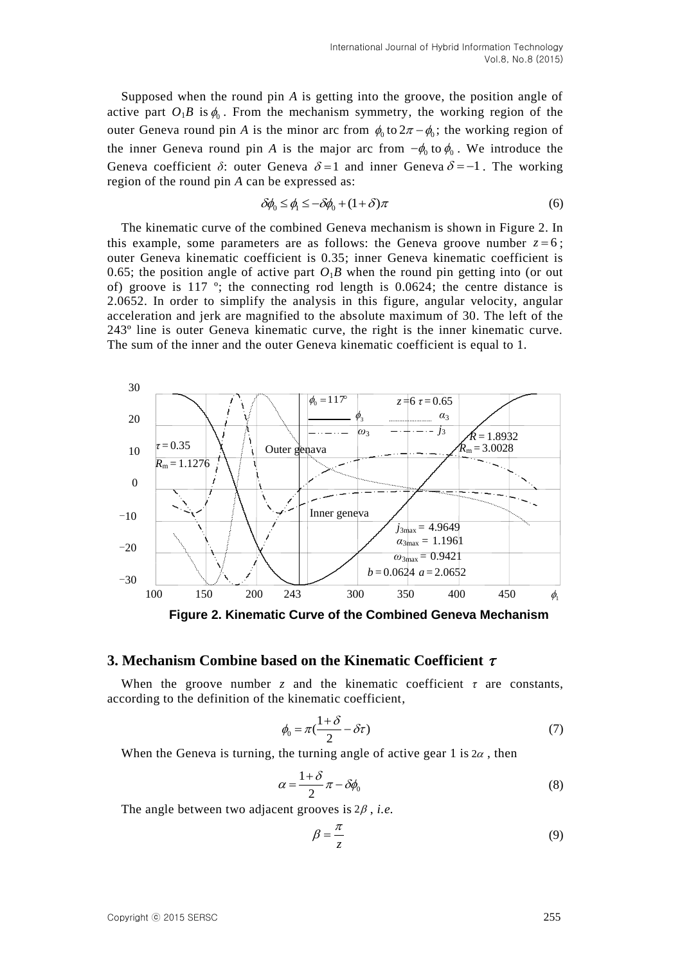Supposed when the round pin *A* is getting into the groove, the position angle of active part  $O_1B$  is  $\phi_0$ . From the mechanism symmetry, the working region of the outer Geneva round pin *A* is the minor arc from  $\phi_0$  to  $2\pi - \phi_0$ ; the working region of the inner Geneva round pin *A* is the major arc from  $-\phi_0$  to  $\phi_0$ . We introduce the Geneva coefficient  $\delta$ : outer Geneva  $\delta = 1$  and inner Geneva  $\delta = -1$ . The working region of the round pin *A* can be expressed as:

$$
\delta\phi_0 \le \phi_1 \le -\delta\phi_0 + (1+\delta)\pi \tag{6}
$$

The kinematic curve of the combined Geneva mechanism is shown in Figure 2. In this example, some parameters are as follows: the Geneva groove number  $z=6$ ; outer Geneva kinematic coefficient is 0.35; inner Geneva kinematic coefficient is 0.65; the position angle of active part  $O_1B$  when the round pin getting into (or out of) groove is 117 º; the connecting rod length is 0.0624; the centre distance is 2.0652. In order to simplify the analysis in this figure, angular velocity, angular acceleration and jerk are magnified to the absolute maximum of 30. The left of the 243º line is outer Geneva kinematic curve, the right is the inner kinematic curve. The sum of the inner and the outer Geneva kinematic coefficient is equal to 1.



**Figure 2. Kinematic Curve of the Combined Geneva Mechanism**

## **3. Mechanism Combine based on the Kinematic Coefficient** <sup>τ</sup>

When the groove number *z* and the kinematic coefficient  $\tau$  are constants, according to the definition of the kinematic coefficient,

$$
\phi_0 = \pi \left(\frac{1+\delta}{2} - \delta \tau\right) \tag{7}
$$

When the Geneva is turning, the turning angle of active gear  $1$  is  $2\alpha$ , then

$$
\alpha = \frac{1+\delta}{2}\pi - \delta\phi_0\tag{8}
$$

The angle between two adjacent grooves is  $2\beta$ , *i.e.* 

$$
\beta = \frac{\pi}{z} \tag{9}
$$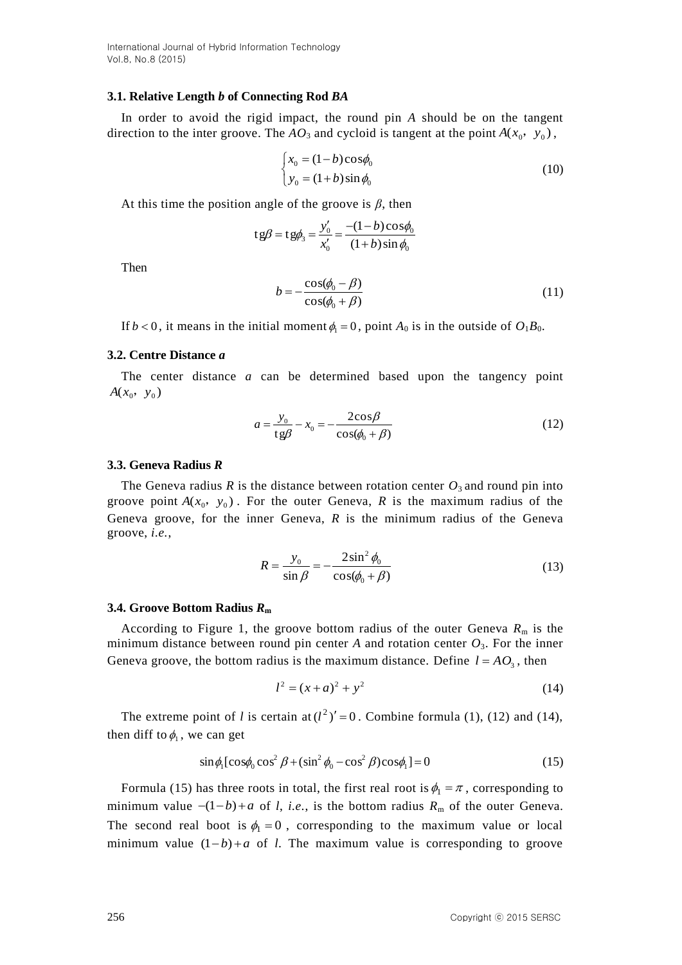## **3.1. Relative Length** *b* **of Connecting Rod** *BA*

In order to avoid the rigid impact, the round pin *A* should be on the tangent direction to the inter groove. The  $AO_3$  and cycloid is tangent at the point  $A(x_0, y_0)$ ,

$$
\begin{cases}\n x_0 = (1 - b)\cos\phi_0 \\
 y_0 = (1 + b)\sin\phi_0\n\end{cases}
$$
\n(10)

At this time the position angle of the groove is *β*, then

$$
tg\beta = tg\phi_3 = \frac{y'_0}{x'_0} = \frac{-(1-b)\cos\phi_0}{(1+b)\sin\phi_0}
$$

Then

$$
b = -\frac{\cos(\phi_0 - \beta)}{\cos(\phi_0 + \beta)}
$$
(11)

If  $b < 0$ , it means in the initial moment  $\phi_1 = 0$ , point  $A_0$  is in the outside of  $O_1B_0$ .

#### **3.2. Centre Distance** *a*

The center distance *a* can be determined based upon the tangency point  $A(x_0, y_0)$ 

$$
a = \frac{y_0}{\text{tg}\beta} - x_0 = -\frac{2\cos\beta}{\cos(\phi_0 + \beta)}
$$
(12)

#### **3.3. Geneva Radius** *R*

The Geneva radius *R* is the distance between rotation center  $O_3$  and round pin into groove point  $A(x_0, y_0)$ . For the outer Geneva, R is the maximum radius of the Geneva groove, for the inner Geneva, *R* is the minimum radius of the Geneva groove, *i.e.*,

$$
R = \frac{y_0}{\sin \beta} = -\frac{2\sin^2 \phi_0}{\cos(\phi_0 + \beta)}
$$
(13)

#### **3.4. Groove Bottom Radius** *R***<sup>m</sup>**

According to Figure 1, the groove bottom radius of the outer Geneva  $R<sub>m</sub>$  is the minimum distance between round pin center  $A$  and rotation center  $O_3$ . For the inner Geneva groove, the bottom radius is the maximum distance. Define  $l = AO_3$ , then

$$
l^2 = (x+a)^2 + y^2 \tag{14}
$$

The extreme point of *l* is certain at  $(l^2)' = 0$ . Combine formula (1), (12) and (14), then diff to  $\phi_1$ , we can get

$$
\sin\phi_1[\cos\phi_0\cos^2\beta+(\sin^2\phi_0-\cos^2\beta)\cos\phi_1]=0
$$
\n(15)

Formula (15) has three roots in total, the first real root is  $\phi_1 = \pi$ , corresponding to minimum value  $-(1-b)+a$  of *l*, *i.e.*, is the bottom radius  $R_m$  of the outer Geneva. The second real boot is  $\phi_1 = 0$ , corresponding to the maximum value or local minimum value  $(1-b)+a$  of *l*. The maximum value is corresponding to groove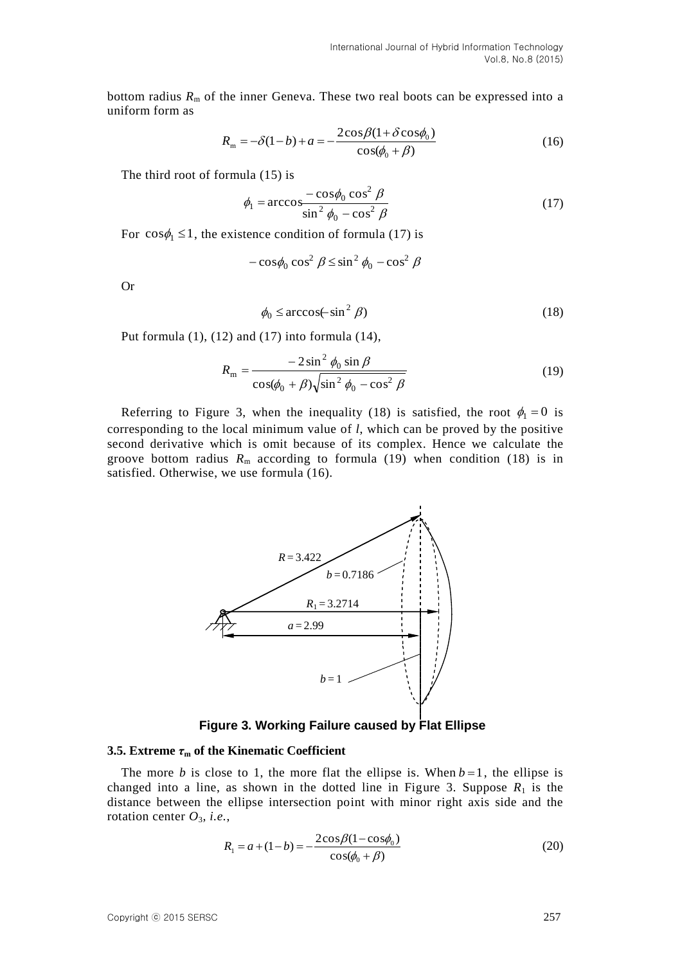bottom radius  $R_m$  of the inner Geneva. These two real boots can be expressed into a uniform form as

$$
R_{\rm m} = -\delta(1 - b) + a = -\frac{2\cos\beta(1 + \delta\cos\phi_0)}{\cos(\phi_0 + \beta)}
$$
(16)

The third root of formula (15) is

$$
\phi_1 = \arccos \frac{-\cos \phi_0 \cos^2 \beta}{\sin^2 \phi_0 - \cos^2 \beta}
$$
\n(17)

For  $\cos\phi_1 \leq 1$ , the existence condition of formula (17) is

$$
-\cos\phi_0\cos^2\beta\leq\sin^2\phi_0-\cos^2\beta
$$

Or

$$
\phi_0 \le \arccos(-\sin^2 \beta) \tag{18}
$$

Put formula  $(1)$ ,  $(12)$  and  $(17)$  into formula  $(14)$ ,

$$
R_{\rm m} = \frac{-2\sin^2\phi_0\sin\beta}{\cos(\phi_0 + \beta)\sqrt{\sin^2\phi_0 - \cos^2\beta}}
$$
(19)

Referring to Figure 3, when the inequality (18) is satisfied, the root  $\phi_1 = 0$  is corresponding to the local minimum value of *l*, which can be proved by the positive second derivative which is omit because of its complex. Hence we calculate the groove bottom radius  $R_m$  according to formula (19) when condition (18) is in satisfied. Otherwise, we use formula (16).



**Figure 3. Working Failure caused by Flat Ellipse**

#### **3.5. Extreme** *τ***<sup>m</sup> of the Kinematic Coefficient**

The more *b* is close to 1, the more flat the ellipse is. When  $b = 1$ , the ellipse is changed into a line, as shown in the dotted line in Figure 3. Suppose  $R_1$  is the distance between the ellipse intersection point with minor right axis side and the rotation center  $O_3$ , *i.e.*,

$$
R_1 = a + (1 - b) = -\frac{2\cos\beta(1 - \cos\phi_0)}{\cos(\phi_0 + \beta)}
$$
(20)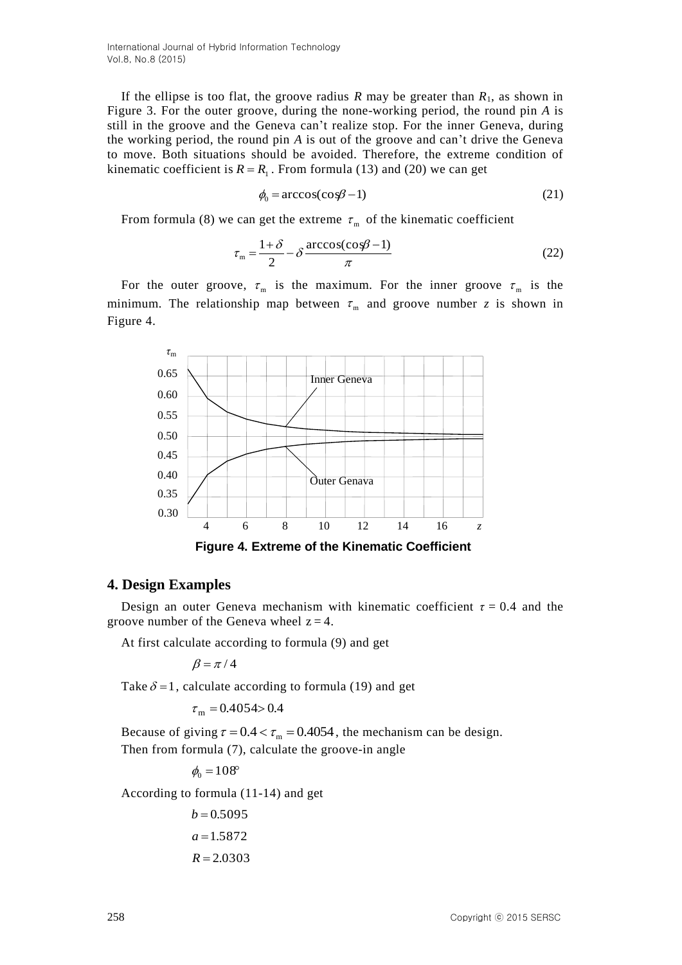International Journal of Hybrid Information Technology Vol.8, No.8 (2015)

If the ellipse is too flat, the groove radius  $R$  may be greater than  $R_1$ , as shown in Figure 3. For the outer groove, during the none-working period, the round pin *A* is still in the groove and the Geneva can't realize stop. For the inner Geneva, during the working period, the round pin *A* is out of the groove and can't drive the Geneva to move. Both situations should be avoided. Therefore, the extreme condition of kinematic coefficient is  $R = R_1$ . From formula (13) and (20) we can get

$$
\phi_0 = \arccos(\cos\theta - 1) \tag{21}
$$

From formula (8) we can get the extreme  $\tau_{m}$  of the kinematic coefficient

$$
\tau_{\rm m} = \frac{1+\delta}{2} - \delta \frac{\arccos(\cos\beta - 1)}{\pi}
$$
 (22)

For the outer groove,  $\tau_m$  is the maximum. For the inner groove  $\tau_m$  is the minimum. The relationship map between  $\tau_m$  and groove number *z* is shown in Figure 4.



**Figure 4. Extreme of the Kinematic Coefficient**

#### **4. Design Examples**

Design an outer Geneva mechanism with kinematic coefficient  $\tau = 0.4$  and the groove number of the Geneva wheel  $z = 4$ .

At first calculate according to formula (9) and get

$$
\beta = \pi/4
$$

Take  $\delta = 1$ , calculate according to formula (19) and get

$$
\tau_{\rm m} = 0.4054\! >\! 0.4
$$

Because of giving  $\tau = 0.4 < \tau_m = 0.4054$ , the mechanism can be design. Then from formula (7), calculate the groove-in angle

 $\phi_0 = 108^\circ$ 

According to formula (11-14) and get

$$
b = 0.5095
$$

$$
a = 1.5872
$$

$$
R = 2.0303
$$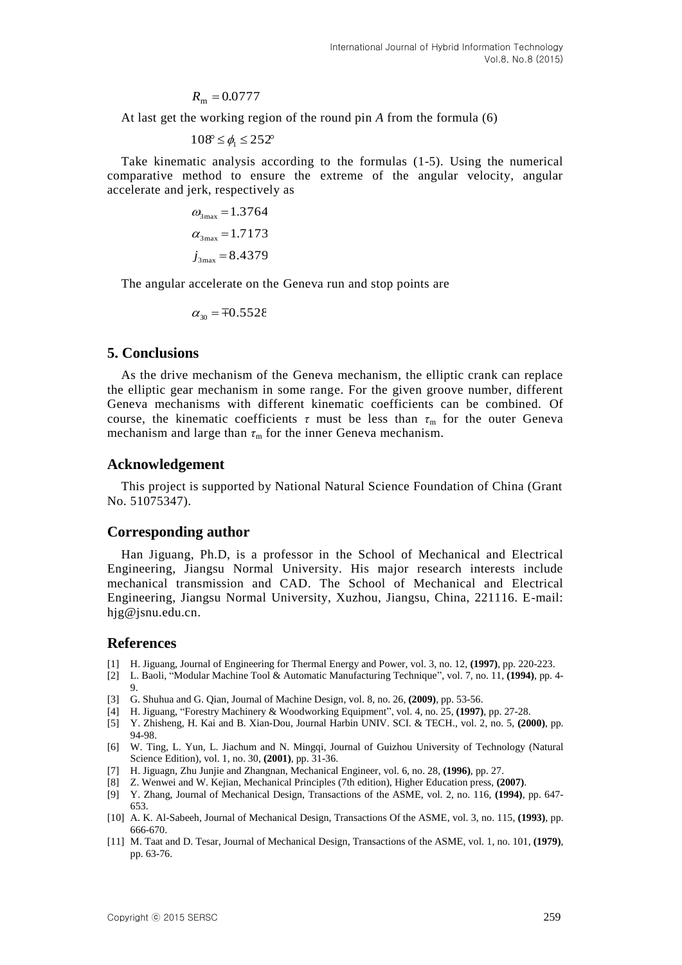$$
R_{\rm m}=0.0777
$$

At last get the working region of the round pin *A* from the formula (6)

$$
108^{\circ} \leq \phi_{\rm l} \leq 252^{\circ}
$$

Take kinematic analysis according to the formulas (1-5). Using the numerical comparative method to ensure the extreme of the angular velocity, angular accelerate and jerk, respectively as

$$
\omega_{3\text{max}} = 1.3764
$$
  
\n $\alpha_{3\text{max}} = 1.7173$   
\n $j_{3\text{max}} = 8.4379$ 

The angular accelerate on the Geneva run and stop points are

$$
\alpha_{30} = \pm 0.5528
$$

## **5. Conclusions**

As the drive mechanism of the Geneva mechanism, the elliptic crank can replace the elliptic gear mechanism in some range. For the given groove number, different Geneva mechanisms with different kinematic coefficients can be combined. Of course, the kinematic coefficients  $\tau$  must be less than  $\tau_m$  for the outer Geneva mechanism and large than  $\tau_m$  for the inner Geneva mechanism.

#### **Acknowledgement**

This project is supported by National Natural Science Foundation of China (Grant No. 51075347).

## **Corresponding author**

*R*<sub>an</sub> = 0.07777<br>
At last get the working region of the round pin *A* from the formula (6)<br>
At last get the working region of the round pin *A* from the formulas<br>
The kinematic analysis accelerate the currence of the ang Han Jiguang, Ph.D, is a professor in the School of Mechanical and Electrical Engineering, Jiangsu Normal University. His major research interests include mechanical transmission and CAD. The School of Mechanical and Electrical Engineering, Jiangsu Normal University, Xuzhou, Jiangsu, China, 221116. E-mail: hjg@jsnu.edu.cn.

## **References**

- [1] H. Jiguang, Journal of Engineering for Thermal Energy and Power, vol. 3, no. 12, **(1997)**, pp. 220-223.
- [2] L. Baoli, "Modular Machine Tool & Automatic Manufacturing Technique", vol. 7, no. 11, **(1994)**, pp. 4- 9.
- [3] G. Shuhua and G. Qian, Journal of Machine Design, vol. 8, no. 26, **(2009)**, pp. 53-56.
- [4] H. Jiguang, "Forestry Machinery & Woodworking Equipment", vol. 4, no. 25, **(1997)**, pp. 27-28.
- [5] Y. Zhisheng, H. Kai and B. Xian-Dou, Journal Harbin UNIV. SCI. & TECH., vol. 2, no. 5, **(2000)**, pp. 94-98.
- [6] W. Ting, L. Yun, L. Jiachum and N. Mingqi, Journal of Guizhou University of Technology (Natural Science Edition), vol. 1, no. 30, **(2001)**, pp. 31-36.
- [7] H. Jiguagn, Zhu Junjie and Zhangnan, Mechanical Engineer, vol. 6, no. 28, **(1996)**, pp. 27.
- [8] Z. Wenwei and W. Kejian, Mechanical Principles (7th edition), Higher Education press, **(2007)**.
- [9] Y. Zhang, Journal of Mechanical Design, Transactions of the ASME, vol. 2, no. 116, **(1994)**, pp. 647- 653.
- [10] A. K. Al-Sabeeh, Journal of Mechanical Design, Transactions Of the ASME, vol. 3, no. 115, **(1993)**, pp. 666-670.
- [11] M. Taat and D. [Tesar,](http://www.engineeringvillage.com/controller/servlet/Controller?CID=quickSearchCitationFormat&searchWord1=%7bTesar%2C+D.%7d§ion1=AU&database=1&yearselect=yearrange&sort=yr) Journal of Mechanical Design, Transactions of the ASME, vol. 1, no. 101, **(1979)**, pp. 63-76.